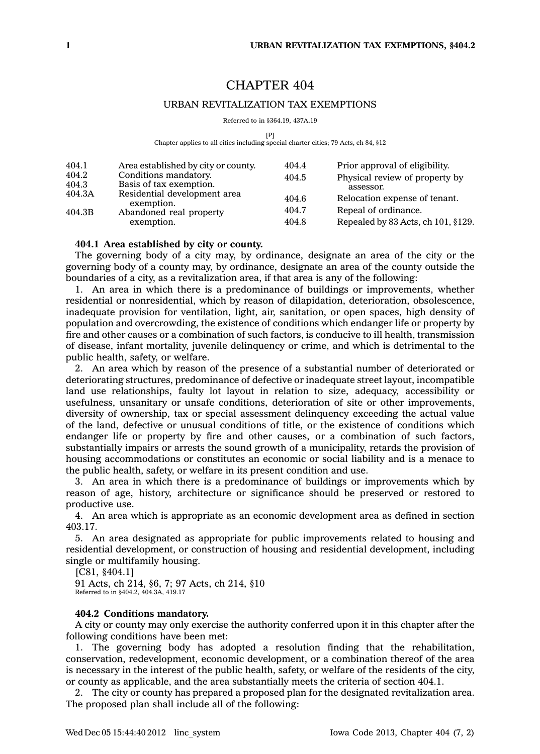# CHAPTER 404

## URBAN REVITALIZATION TAX EXEMPTIONS

Referred to in §364.19, 437A.19

 $[$ P $]$ 

Chapter applies to all cities including special charter cities; 79 Acts, ch 84, §12

| 404.1<br>404.2<br>404.3<br>404.3A<br>404.3B | Area established by city or county.<br>Conditions mandatory.<br>Basis of tax exemption.<br>Residential development area<br>exemption.<br>Abandoned real property | 404.4<br>404.5<br>404.6<br>404.7 | Prior approval of eligibility.<br>Physical review of property by<br>assessor.<br>Relocation expense of tenant.<br>Repeal of ordinance. |
|---------------------------------------------|------------------------------------------------------------------------------------------------------------------------------------------------------------------|----------------------------------|----------------------------------------------------------------------------------------------------------------------------------------|
|                                             | exemption.                                                                                                                                                       | 404.8                            | Repealed by 83 Acts, ch 101, §129.                                                                                                     |

## **404.1 Area established by city or county.**

The governing body of <sup>a</sup> city may, by ordinance, designate an area of the city or the governing body of <sup>a</sup> county may, by ordinance, designate an area of the county outside the boundaries of <sup>a</sup> city, as <sup>a</sup> revitalization area, if that area is any of the following:

1. An area in which there is <sup>a</sup> predominance of buildings or improvements, whether residential or nonresidential, which by reason of dilapidation, deterioration, obsolescence, inadequate provision for ventilation, light, air, sanitation, or open spaces, high density of population and overcrowding, the existence of conditions which endanger life or property by fire and other causes or <sup>a</sup> combination of such factors, is conducive to ill health, transmission of disease, infant mortality, juvenile delinquency or crime, and which is detrimental to the public health, safety, or welfare.

2. An area which by reason of the presence of <sup>a</sup> substantial number of deteriorated or deteriorating structures, predominance of defective or inadequate street layout, incompatible land use relationships, faulty lot layout in relation to size, adequacy, accessibility or usefulness, unsanitary or unsafe conditions, deterioration of site or other improvements, diversity of ownership, tax or special assessment delinquency exceeding the actual value of the land, defective or unusual conditions of title, or the existence of conditions which endanger life or property by fire and other causes, or <sup>a</sup> combination of such factors, substantially impairs or arrests the sound growth of <sup>a</sup> municipality, retards the provision of housing accommodations or constitutes an economic or social liability and is <sup>a</sup> menace to the public health, safety, or welfare in its present condition and use.

3. An area in which there is <sup>a</sup> predominance of buildings or improvements which by reason of age, history, architecture or significance should be preserved or restored to productive use.

4. An area which is appropriate as an economic development area as defined in section 403.17.

5. An area designated as appropriate for public improvements related to housing and residential development, or construction of housing and residential development, including single or multifamily housing.

[C81, §404.1] 91 Acts, ch 214, §6, 7; 97 Acts, ch 214, §10 Referred to in §404.2, 404.3A, 419.17

## **404.2 Conditions mandatory.**

A city or county may only exercise the authority conferred upon it in this chapter after the following conditions have been met:

1. The governing body has adopted <sup>a</sup> resolution finding that the rehabilitation, conservation, redevelopment, economic development, or <sup>a</sup> combination thereof of the area is necessary in the interest of the public health, safety, or welfare of the residents of the city, or county as applicable, and the area substantially meets the criteria of section 404.1.

2. The city or county has prepared <sup>a</sup> proposed plan for the designated revitalization area. The proposed plan shall include all of the following: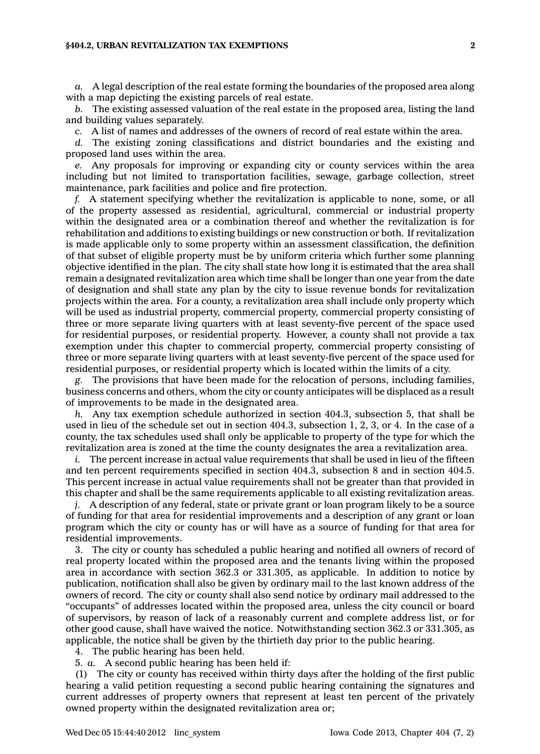### **§404.2, URBAN REVITALIZATION TAX EXEMPTIONS 2**

*a.* A legal description of the real estate forming the boundaries of the proposed area along with <sup>a</sup> map depicting the existing parcels of real estate.

*b.* The existing assessed valuation of the real estate in the proposed area, listing the land and building values separately.

*c.* A list of names and addresses of the owners of record of real estate within the area.

*d.* The existing zoning classifications and district boundaries and the existing and proposed land uses within the area.

*e.* Any proposals for improving or expanding city or county services within the area including but not limited to transportation facilities, sewage, garbage collection, street maintenance, park facilities and police and fire protection.

*f.* A statement specifying whether the revitalization is applicable to none, some, or all of the property assessed as residential, agricultural, commercial or industrial property within the designated area or <sup>a</sup> combination thereof and whether the revitalization is for rehabilitation and additions to existing buildings or new construction or both. If revitalization is made applicable only to some property within an assessment classification, the definition of that subset of eligible property must be by uniform criteria which further some planning objective identified in the plan. The city shall state how long it is estimated that the area shall remain <sup>a</sup> designated revitalization area which time shall be longer than one year from the date of designation and shall state any plan by the city to issue revenue bonds for revitalization projects within the area. For <sup>a</sup> county, <sup>a</sup> revitalization area shall include only property which will be used as industrial property, commercial property, commercial property consisting of three or more separate living quarters with at least seventy-five percent of the space used for residential purposes, or residential property. However, <sup>a</sup> county shall not provide <sup>a</sup> tax exemption under this chapter to commercial property, commercial property consisting of three or more separate living quarters with at least seventy-five percent of the space used for residential purposes, or residential property which is located within the limits of <sup>a</sup> city.

*g.* The provisions that have been made for the relocation of persons, including families, business concerns and others, whom the city or county anticipates will be displaced as <sup>a</sup> result of improvements to be made in the designated area.

*h.* Any tax exemption schedule authorized in section 404.3, subsection 5, that shall be used in lieu of the schedule set out in section 404.3, subsection 1, 2, 3, or 4. In the case of <sup>a</sup> county, the tax schedules used shall only be applicable to property of the type for which the revitalization area is zoned at the time the county designates the area <sup>a</sup> revitalization area.

*i.* The percent increase in actual value requirements that shall be used in lieu of the fifteen and ten percent requirements specified in section 404.3, subsection 8 and in section 404.5. This percent increase in actual value requirements shall not be greater than that provided in this chapter and shall be the same requirements applicable to all existing revitalization areas.

*j.* A description of any federal, state or private grant or loan program likely to be <sup>a</sup> source of funding for that area for residential improvements and <sup>a</sup> description of any grant or loan program which the city or county has or will have as <sup>a</sup> source of funding for that area for residential improvements.

The city or county has scheduled a public hearing and notified all owners of record of real property located within the proposed area and the tenants living within the proposed area in accordance with section 362.3 or 331.305, as applicable. In addition to notice by publication, notification shall also be given by ordinary mail to the last known address of the owners of record. The city or county shall also send notice by ordinary mail addressed to the "occupants" of addresses located within the proposed area, unless the city council or board of supervisors, by reason of lack of <sup>a</sup> reasonably current and complete address list, or for other good cause, shall have waived the notice. Notwithstanding section 362.3 or 331.305, as applicable, the notice shall be given by the thirtieth day prior to the public hearing.

4. The public hearing has been held.

5. *a.* A second public hearing has been held if:

(1) The city or county has received within thirty days after the holding of the first public hearing <sup>a</sup> valid petition requesting <sup>a</sup> second public hearing containing the signatures and current addresses of property owners that represent at least ten percent of the privately owned property within the designated revitalization area or;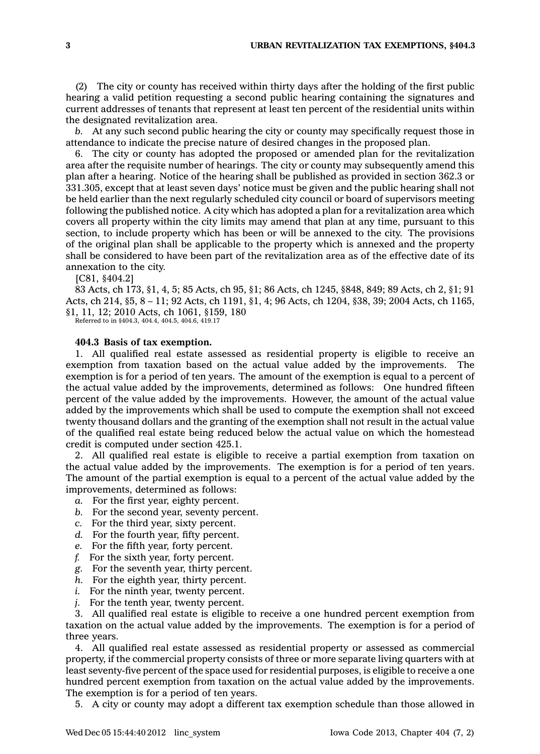(2) The city or county has received within thirty days after the holding of the first public hearing <sup>a</sup> valid petition requesting <sup>a</sup> second public hearing containing the signatures and current addresses of tenants that represent at least ten percent of the residential units within the designated revitalization area.

*b.* At any such second public hearing the city or county may specifically request those in attendance to indicate the precise nature of desired changes in the proposed plan.

6. The city or county has adopted the proposed or amended plan for the revitalization area after the requisite number of hearings. The city or county may subsequently amend this plan after <sup>a</sup> hearing. Notice of the hearing shall be published as provided in section 362.3 or 331.305, except that at least seven days' notice must be given and the public hearing shall not be held earlier than the next regularly scheduled city council or board of supervisors meeting following the published notice. A city which has adopted <sup>a</sup> plan for <sup>a</sup> revitalization area which covers all property within the city limits may amend that plan at any time, pursuant to this section, to include property which has been or will be annexed to the city. The provisions of the original plan shall be applicable to the property which is annexed and the property shall be considered to have been part of the revitalization area as of the effective date of its annexation to the city.

[C81, §404.2]

83 Acts, ch 173, §1, 4, 5; 85 Acts, ch 95, §1; 86 Acts, ch 1245, §848, 849; 89 Acts, ch 2, §1; 91 Acts, ch 214, §5, 8 – 11; 92 Acts, ch 1191, §1, 4; 96 Acts, ch 1204, §38, 39; 2004 Acts, ch 1165, §1, 11, 12; 2010 Acts, ch 1061, §159, 180

Referred to in §404.3, 404.4, 404.5, 404.6, 419.17

### **404.3 Basis of tax exemption.**

1. All qualified real estate assessed as residential property is eligible to receive an exemption from taxation based on the actual value added by the improvements. The exemption is for <sup>a</sup> period of ten years. The amount of the exemption is equal to <sup>a</sup> percent of the actual value added by the improvements, determined as follows: One hundred fifteen percent of the value added by the improvements. However, the amount of the actual value added by the improvements which shall be used to compute the exemption shall not exceed twenty thousand dollars and the granting of the exemption shall not result in the actual value of the qualified real estate being reduced below the actual value on which the homestead credit is computed under section 425.1.

2. All qualified real estate is eligible to receive <sup>a</sup> partial exemption from taxation on the actual value added by the improvements. The exemption is for <sup>a</sup> period of ten years. The amount of the partial exemption is equal to <sup>a</sup> percent of the actual value added by the improvements, determined as follows:

- *a.* For the first year, eighty percent.
- *b.* For the second year, seventy percent.
- *c.* For the third year, sixty percent.
- *d.* For the fourth year, fifty percent.
- *e.* For the fifth year, forty percent.
- *f.* For the sixth year, forty percent.
- *g.* For the seventh year, thirty percent.
- *h.* For the eighth year, thirty percent.
- *i.* For the ninth year, twenty percent.
- *j.* For the tenth year, twenty percent.

3. All qualified real estate is eligible to receive <sup>a</sup> one hundred percent exemption from taxation on the actual value added by the improvements. The exemption is for <sup>a</sup> period of three years.

4. All qualified real estate assessed as residential property or assessed as commercial property, if the commercial property consists of three or more separate living quarters with at least seventy-five percent of the space used for residential purposes, is eligible to receive <sup>a</sup> one hundred percent exemption from taxation on the actual value added by the improvements. The exemption is for <sup>a</sup> period of ten years.

5. A city or county may adopt <sup>a</sup> different tax exemption schedule than those allowed in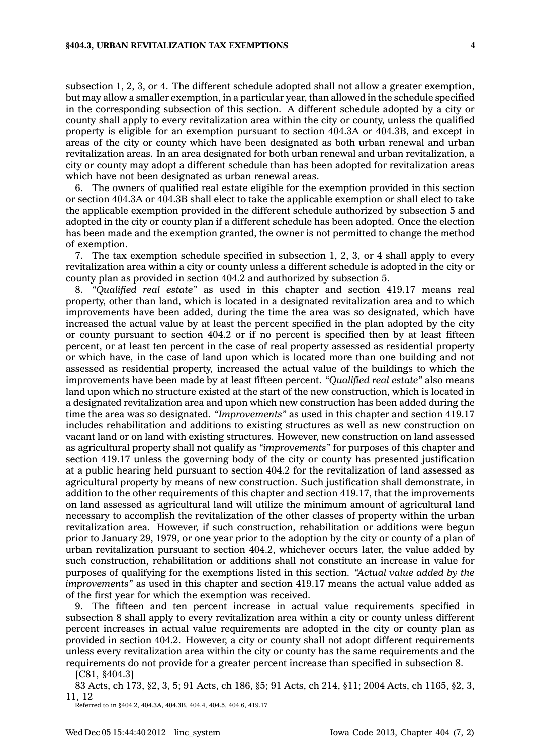subsection 1, 2, 3, or 4. The different schedule adopted shall not allow <sup>a</sup> greater exemption, but may allow <sup>a</sup> smaller exemption, in <sup>a</sup> particular year, than allowed in the schedule specified in the corresponding subsection of this section. A different schedule adopted by <sup>a</sup> city or county shall apply to every revitalization area within the city or county, unless the qualified property is eligible for an exemption pursuant to section 404.3A or 404.3B, and except in areas of the city or county which have been designated as both urban renewal and urban revitalization areas. In an area designated for both urban renewal and urban revitalization, <sup>a</sup> city or county may adopt <sup>a</sup> different schedule than has been adopted for revitalization areas which have not been designated as urban renewal areas.

6. The owners of qualified real estate eligible for the exemption provided in this section or section 404.3A or 404.3B shall elect to take the applicable exemption or shall elect to take the applicable exemption provided in the different schedule authorized by subsection 5 and adopted in the city or county plan if <sup>a</sup> different schedule has been adopted. Once the election has been made and the exemption granted, the owner is not permitted to change the method of exemption.

7. The tax exemption schedule specified in subsection 1, 2, 3, or 4 shall apply to every revitalization area within <sup>a</sup> city or county unless <sup>a</sup> different schedule is adopted in the city or county plan as provided in section 404.2 and authorized by subsection 5.

8. *"Qualified real estate"* as used in this chapter and section 419.17 means real property, other than land, which is located in <sup>a</sup> designated revitalization area and to which improvements have been added, during the time the area was so designated, which have increased the actual value by at least the percent specified in the plan adopted by the city or county pursuant to section 404.2 or if no percent is specified then by at least fifteen percent, or at least ten percent in the case of real property assessed as residential property or which have, in the case of land upon which is located more than one building and not assessed as residential property, increased the actual value of the buildings to which the improvements have been made by at least fifteen percent. *"Qualified real estate"* also means land upon which no structure existed at the start of the new construction, which is located in <sup>a</sup> designated revitalization area and upon which new construction has been added during the time the area was so designated. *"Improvements"* as used in this chapter and section 419.17 includes rehabilitation and additions to existing structures as well as new construction on vacant land or on land with existing structures. However, new construction on land assessed as agricultural property shall not qualify as *"improvements"* for purposes of this chapter and section 419.17 unless the governing body of the city or county has presented justification at <sup>a</sup> public hearing held pursuant to section 404.2 for the revitalization of land assessed as agricultural property by means of new construction. Such justification shall demonstrate, in addition to the other requirements of this chapter and section 419.17, that the improvements on land assessed as agricultural land will utilize the minimum amount of agricultural land necessary to accomplish the revitalization of the other classes of property within the urban revitalization area. However, if such construction, rehabilitation or additions were begun prior to January 29, 1979, or one year prior to the adoption by the city or county of <sup>a</sup> plan of urban revitalization pursuant to section 404.2, whichever occurs later, the value added by such construction, rehabilitation or additions shall not constitute an increase in value for purposes of qualifying for the exemptions listed in this section. *"Actual value added by the improvements"* as used in this chapter and section 419.17 means the actual value added as of the first year for which the exemption was received.

9. The fifteen and ten percent increase in actual value requirements specified in subsection 8 shall apply to every revitalization area within <sup>a</sup> city or county unless different percent increases in actual value requirements are adopted in the city or county plan as provided in section 404.2. However, <sup>a</sup> city or county shall not adopt different requirements unless every revitalization area within the city or county has the same requirements and the requirements do not provide for <sup>a</sup> greater percent increase than specified in subsection 8.

[C81, §404.3]

83 Acts, ch 173, §2, 3, 5; 91 Acts, ch 186, §5; 91 Acts, ch 214, §11; 2004 Acts, ch 1165, §2, 3, 11, 12

Referred to in §404.2, 404.3A, 404.3B, 404.4, 404.5, 404.6, 419.17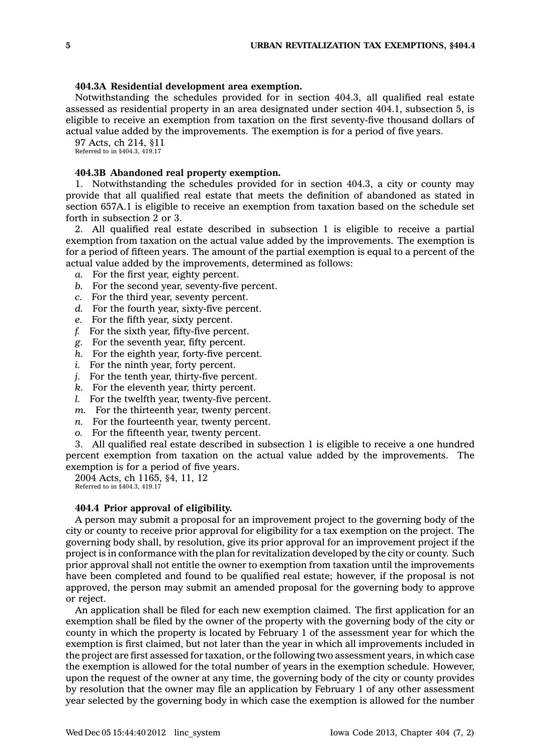## **404.3A Residential development area exemption.**

Notwithstanding the schedules provided for in section 404.3, all qualified real estate assessed as residential property in an area designated under section 404.1, subsection 5, is eligible to receive an exemption from taxation on the first seventy-five thousand dollars of actual value added by the improvements. The exemption is for <sup>a</sup> period of five years.

97 Acts, ch 214, §11

Referred to in §404.3, 419.17

## **404.3B Abandoned real property exemption.**

1. Notwithstanding the schedules provided for in section 404.3, <sup>a</sup> city or county may provide that all qualified real estate that meets the definition of abandoned as stated in section 657A.1 is eligible to receive an exemption from taxation based on the schedule set forth in subsection 2 or 3.

2. All qualified real estate described in subsection 1 is eligible to receive <sup>a</sup> partial exemption from taxation on the actual value added by the improvements. The exemption is for <sup>a</sup> period of fifteen years. The amount of the partial exemption is equal to <sup>a</sup> percent of the actual value added by the improvements, determined as follows:

- *a.* For the first year, eighty percent.
- *b.* For the second year, seventy-five percent.
- *c.* For the third year, seventy percent.
- *d.* For the fourth year, sixty-five percent.
- *e.* For the fifth year, sixty percent.
- *f.* For the sixth year, fifty-five percent.
- *g.* For the seventh year, fifty percent.
- *h.* For the eighth year, forty-five percent.
- *i.* For the ninth year, forty percent.
- *j.* For the tenth year, thirty-five percent.
- *k.* For the eleventh year, thirty percent.
- *l.* For the twelfth year, twenty-five percent.
- *m.* For the thirteenth year, twenty percent.
- *n.* For the fourteenth year, twenty percent.
- *o.* For the fifteenth year, twenty percent.

3. All qualified real estate described in subsection 1 is eligible to receive <sup>a</sup> one hundred percent exemption from taxation on the actual value added by the improvements. The exemption is for <sup>a</sup> period of five years.

2004 Acts, ch 1165, §4, 11, 12 Referred to in §404.3, 419.17

#### **404.4 Prior approval of eligibility.**

A person may submit <sup>a</sup> proposal for an improvement project to the governing body of the city or county to receive prior approval for eligibility for <sup>a</sup> tax exemption on the project. The governing body shall, by resolution, give its prior approval for an improvement project if the project is in conformance with the plan for revitalization developed by the city or county. Such prior approval shall not entitle the owner to exemption from taxation until the improvements have been completed and found to be qualified real estate; however, if the proposal is not approved, the person may submit an amended proposal for the governing body to approve or reject.

An application shall be filed for each new exemption claimed. The first application for an exemption shall be filed by the owner of the property with the governing body of the city or county in which the property is located by February 1 of the assessment year for which the exemption is first claimed, but not later than the year in which all improvements included in the project are first assessed for taxation, or the following two assessment years, in which case the exemption is allowed for the total number of years in the exemption schedule. However, upon the request of the owner at any time, the governing body of the city or county provides by resolution that the owner may file an application by February 1 of any other assessment year selected by the governing body in which case the exemption is allowed for the number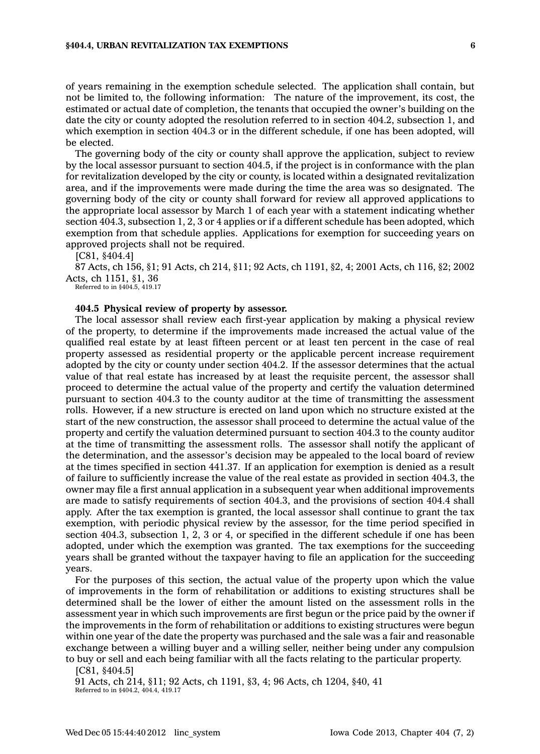## **§404.4, URBAN REVITALIZATION TAX EXEMPTIONS 6**

of years remaining in the exemption schedule selected. The application shall contain, but not be limited to, the following information: The nature of the improvement, its cost, the estimated or actual date of completion, the tenants that occupied the owner's building on the date the city or county adopted the resolution referred to in section 404.2, subsection 1, and which exemption in section 404.3 or in the different schedule, if one has been adopted, will be elected.

The governing body of the city or county shall approve the application, subject to review by the local assessor pursuant to section 404.5, if the project is in conformance with the plan for revitalization developed by the city or county, is located within <sup>a</sup> designated revitalization area, and if the improvements were made during the time the area was so designated. The governing body of the city or county shall forward for review all approved applications to the appropriate local assessor by March 1 of each year with <sup>a</sup> statement indicating whether section 404.3, subsection 1, 2, 3 or 4 applies or if <sup>a</sup> different schedule has been adopted, which exemption from that schedule applies. Applications for exemption for succeeding years on approved projects shall not be required.

[C81, §404.4]

87 Acts, ch 156, §1; 91 Acts, ch 214, §11; 92 Acts, ch 1191, §2, 4; 2001 Acts, ch 116, §2; 2002 Acts, ch 1151, §1, 36

Referred to in §404.5, 419.17

## **404.5 Physical review of property by assessor.**

The local assessor shall review each first-year application by making <sup>a</sup> physical review of the property, to determine if the improvements made increased the actual value of the qualified real estate by at least fifteen percent or at least ten percent in the case of real property assessed as residential property or the applicable percent increase requirement adopted by the city or county under section 404.2. If the assessor determines that the actual value of that real estate has increased by at least the requisite percent, the assessor shall proceed to determine the actual value of the property and certify the valuation determined pursuant to section 404.3 to the county auditor at the time of transmitting the assessment rolls. However, if <sup>a</sup> new structure is erected on land upon which no structure existed at the start of the new construction, the assessor shall proceed to determine the actual value of the property and certify the valuation determined pursuant to section 404.3 to the county auditor at the time of transmitting the assessment rolls. The assessor shall notify the applicant of the determination, and the assessor's decision may be appealed to the local board of review at the times specified in section 441.37. If an application for exemption is denied as <sup>a</sup> result of failure to sufficiently increase the value of the real estate as provided in section 404.3, the owner may file <sup>a</sup> first annual application in <sup>a</sup> subsequent year when additional improvements are made to satisfy requirements of section 404.3, and the provisions of section 404.4 shall apply. After the tax exemption is granted, the local assessor shall continue to grant the tax exemption, with periodic physical review by the assessor, for the time period specified in section 404.3, subsection 1, 2, 3 or 4, or specified in the different schedule if one has been adopted, under which the exemption was granted. The tax exemptions for the succeeding years shall be granted without the taxpayer having to file an application for the succeeding years.

For the purposes of this section, the actual value of the property upon which the value of improvements in the form of rehabilitation or additions to existing structures shall be determined shall be the lower of either the amount listed on the assessment rolls in the assessment year in which such improvements are first begun or the price paid by the owner if the improvements in the form of rehabilitation or additions to existing structures were begun within one year of the date the property was purchased and the sale was <sup>a</sup> fair and reasonable exchange between <sup>a</sup> willing buyer and <sup>a</sup> willing seller, neither being under any compulsion to buy or sell and each being familiar with all the facts relating to the particular property.

[C81, §404.5]

91 Acts, ch 214, §11; 92 Acts, ch 1191, §3, 4; 96 Acts, ch 1204, §40, 41 Referred to in §404.2, 404.4, 419.17